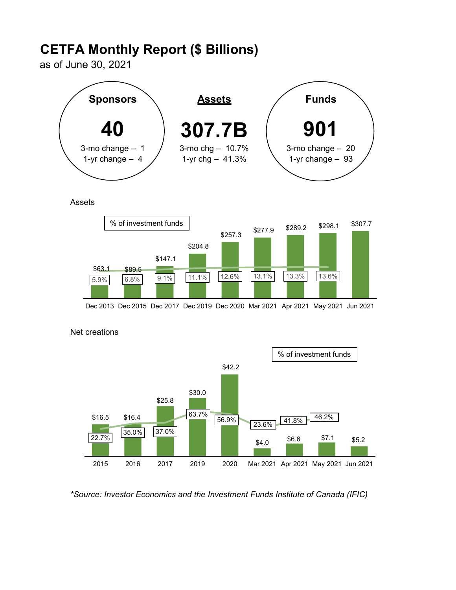# CETFA Monthly Report (\$ Billions)

as of June 30, 2021



**Assets** 



Dec 2013 Dec 2015 Dec 2017 Dec 2019 Dec 2020 Mar 2021 Apr 2021 May 2021 Jun 2021



## Net creations

\*Source: Investor Economics and the Investment Funds Institute of Canada (IFIC)